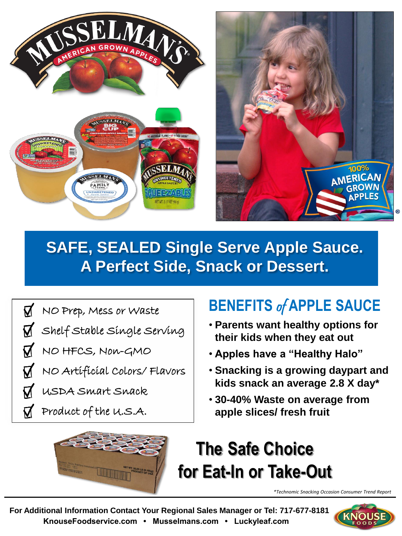



## **SAFE, SEALED Single Serve Apple Sauce. A Perfect Side, Snack or Dessert.**

 $\overline{\mathbf{M}}$ NO Prep, Mess or Waste

Shelf Stable Single Serving

NO HFCS, Non-GMO

NO Artificial Colors/ Flavors

USDA Smart Snack

Product of the U.S.A.

Ø

## **BENEFITS** of **APPLE SAUCE**

- **Parents want healthy options for their kids when they eat out**
- **Apples have a "Healthy Halo"**
- **Snacking is a growing daypart and kids snack an average 2.8 X day\***
- **30-40% Waste on average from apple slices/ fresh fruit**



*\*Technomic Snacking Occasion Consumer Trend Report*